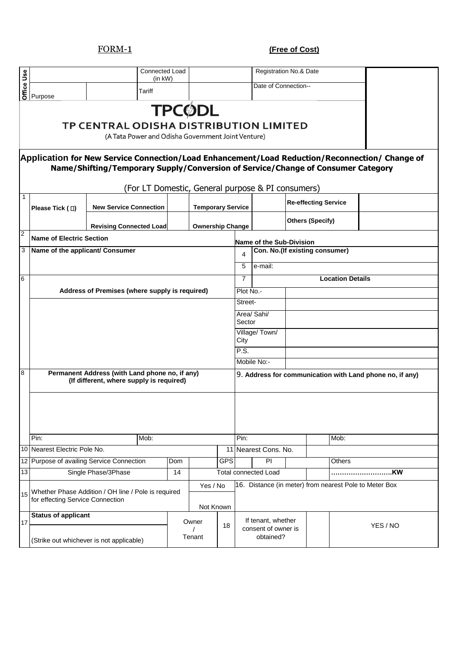FORM-1 **(Free of Cost)**

|                |                                                                                                                      |                                                                                                                                                                                    | Connected Load<br>$(in$ kW $)$ |                          |            |                                                          | Registration No.& Date                                 |                         |                                |                                                        |  |  |  |
|----------------|----------------------------------------------------------------------------------------------------------------------|------------------------------------------------------------------------------------------------------------------------------------------------------------------------------------|--------------------------------|--------------------------|------------|----------------------------------------------------------|--------------------------------------------------------|-------------------------|--------------------------------|--------------------------------------------------------|--|--|--|
| Office Use     | Purpose                                                                                                              | Tariff                                                                                                                                                                             |                                |                          |            |                                                          | Date of Connection--                                   |                         |                                |                                                        |  |  |  |
|                | <b>TPCØDL</b><br><b>TP CENTRAL ODISHA DISTRIBUTION LIMITED</b><br>(A Tata Power and Odisha Government Joint Venture) |                                                                                                                                                                                    |                                |                          |            |                                                          |                                                        |                         |                                |                                                        |  |  |  |
|                |                                                                                                                      | Application for New Service Connection/Load Enhancement/Load Reduction/Reconnection/ Change of<br>Name/Shifting/Temporary Supply/Conversion of Service/Change of Consumer Category |                                |                          |            |                                                          |                                                        |                         |                                |                                                        |  |  |  |
| $\mathbf{1}$   |                                                                                                                      | (For LT Domestic, General purpose & PI consumers)                                                                                                                                  |                                |                          |            |                                                          |                                                        |                         |                                |                                                        |  |  |  |
|                | Please Tick ( □)                                                                                                     | <b>New Service Connection</b>                                                                                                                                                      |                                | <b>Temporary Service</b> |            |                                                          |                                                        |                         | <b>Re-effecting Service</b>    |                                                        |  |  |  |
|                |                                                                                                                      | <b>Revising Connected Load</b>                                                                                                                                                     |                                | <b>Ownership Change</b>  |            |                                                          |                                                        |                         | <b>Others (Specify)</b>        |                                                        |  |  |  |
| $\overline{c}$ | <b>Name of Electric Section</b>                                                                                      |                                                                                                                                                                                    |                                |                          |            |                                                          | Name of the Sub-Division                               |                         |                                |                                                        |  |  |  |
| 3              | Name of the applicant/ Consumer                                                                                      |                                                                                                                                                                                    |                                |                          |            | 4                                                        |                                                        |                         | Con. No.(If existing consumer) |                                                        |  |  |  |
|                |                                                                                                                      |                                                                                                                                                                                    |                                |                          |            | 5                                                        | e-mail:                                                |                         |                                |                                                        |  |  |  |
| 6              |                                                                                                                      |                                                                                                                                                                                    |                                |                          |            | $\overline{7}$                                           |                                                        | <b>Location Details</b> |                                |                                                        |  |  |  |
|                | Address of Premises (where supply is required)                                                                       |                                                                                                                                                                                    |                                | Plot No.-                |            |                                                          |                                                        |                         |                                |                                                        |  |  |  |
|                |                                                                                                                      |                                                                                                                                                                                    |                                |                          |            | Street-<br>Area/ Sahi/                                   |                                                        |                         |                                |                                                        |  |  |  |
|                |                                                                                                                      |                                                                                                                                                                                    |                                |                          |            | Sector                                                   |                                                        |                         |                                |                                                        |  |  |  |
|                |                                                                                                                      |                                                                                                                                                                                    |                                | Village/Town/<br>City    |            |                                                          |                                                        |                         |                                |                                                        |  |  |  |
|                |                                                                                                                      |                                                                                                                                                                                    |                                |                          |            | P.S.                                                     |                                                        |                         |                                |                                                        |  |  |  |
|                |                                                                                                                      |                                                                                                                                                                                    |                                |                          |            |                                                          | Mobile No:-                                            |                         |                                |                                                        |  |  |  |
| 8              |                                                                                                                      | Permanent Address (with Land phone no, if any)<br>(If different, where supply is required)                                                                                         |                                |                          |            | 9. Address for communication with Land phone no, if any) |                                                        |                         |                                |                                                        |  |  |  |
|                |                                                                                                                      |                                                                                                                                                                                    |                                |                          |            |                                                          |                                                        |                         |                                |                                                        |  |  |  |
|                |                                                                                                                      |                                                                                                                                                                                    |                                |                          |            |                                                          |                                                        |                         |                                |                                                        |  |  |  |
|                |                                                                                                                      |                                                                                                                                                                                    |                                |                          |            |                                                          |                                                        |                         |                                |                                                        |  |  |  |
|                | Pin:<br>10 Nearest Electric Pole No.                                                                                 | Mob:                                                                                                                                                                               |                                |                          | 11         | Pin:                                                     | Nearest Cons. No.                                      |                         | Mob:                           |                                                        |  |  |  |
|                |                                                                                                                      | 12 Purpose of availing Service Connection                                                                                                                                          | Dom                            |                          | <b>GPS</b> |                                                          | PI                                                     |                         | Others                         |                                                        |  |  |  |
| 13             |                                                                                                                      | Single Phase/3Phase                                                                                                                                                                | 14                             |                          |            |                                                          | <b>Total connected Load</b>                            |                         |                                | KW                                                     |  |  |  |
| 15             | for effecting Service Connection                                                                                     | Whether Phase Addition / OH line / Pole is required                                                                                                                                |                                | Yes / No<br>Not Known    |            |                                                          |                                                        |                         |                                | 16. Distance (in meter) from nearest Pole to Meter Box |  |  |  |
|                | <b>Status of applicant</b>                                                                                           |                                                                                                                                                                                    |                                | Owner                    |            |                                                          |                                                        |                         |                                |                                                        |  |  |  |
| 17             |                                                                                                                      | (Strike out whichever is not applicable)                                                                                                                                           |                                | Tenant                   | 18         |                                                          | If tenant, whether<br>consent of owner is<br>obtained? |                         |                                | YES / NO                                               |  |  |  |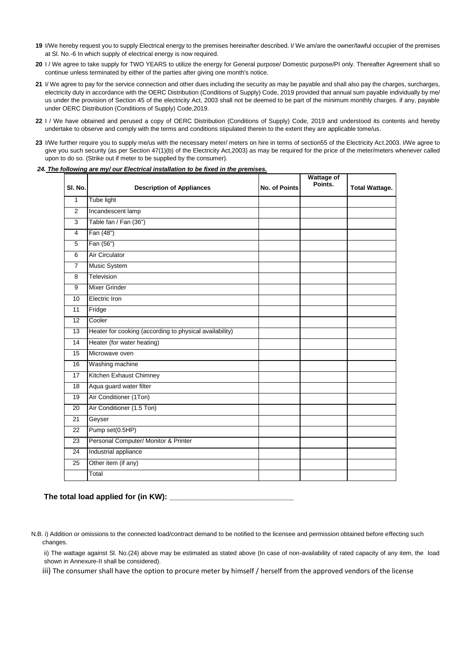- 19 I/We hereby request you to supply Electrical energy to the premises hereinafter described. I/We am/are the owner/lawful occupier of the premises at Sl. No.-6 In which supply of electrical energy is now required.
- **20** I / We agree to take supply for TWO YEARS to utilize the energy for General purpose/ Domestic purpose/PI only. Thereafter Agreement shall so continue unless terminated by either of the parties after giving one month's notice.
- **21** I/ We agree to pay for the service connection and other dues including the security as may be payable and shall also pay the charges, surcharges, electricity duty in accordance with the OERC Distribution (Conditions of Supply) Code, 2019 provided that annual sum payable individually by me/ us under the provision of Section 45 of the electricity Act, 2003 shall not be deemed to be part of the minimum monthly charges. if any, payable under OERC Distribution (Conditions of Supply) Code,2019.
- **22** I / We have obtained and perused a copy of OERC Distribution (Conditions of Supply) Code, 2019 and understood its contents and hereby undertake to observe and comply with the terms and conditions stipulated therein to the extent they are applicable tome/us.
- **23** I/We further require you to supply me/us with the necessary meter/ meters on hire in terms of section55 of the Electricity Act.2003. I/We agree to give you such security (as per Section 47(1)(b) of the Electricity Act,2003) as may be required for the price of the meter/meters whenever called upon to do so. (Strike out if meter to be supplied by the consumer).

### *24. The following are my/ our Electrical installation to be fixed in the premises.*

| SI. No.         | <b>Description of Appliances</b>                        | <b>No. of Points</b> | <b>Wattage of</b><br>Points. | <b>Total Wattage.</b> |
|-----------------|---------------------------------------------------------|----------------------|------------------------------|-----------------------|
| 1               | Tube light                                              |                      |                              |                       |
| $\overline{2}$  | Incandescent lamp                                       |                      |                              |                       |
| 3               | Table fan / Fan (36")                                   |                      |                              |                       |
| 4               | Fan (48")                                               |                      |                              |                       |
| 5               | Fan (56")                                               |                      |                              |                       |
| 6               | <b>Air Circulator</b>                                   |                      |                              |                       |
| $\overline{7}$  | Music System                                            |                      |                              |                       |
| 8               | Television                                              |                      |                              |                       |
| 9               | <b>Mixer Grinder</b>                                    |                      |                              |                       |
| 10              | Electric Iron                                           |                      |                              |                       |
| 11              | Fridge                                                  |                      |                              |                       |
| 12              | Cooler                                                  |                      |                              |                       |
| 13              | Heater for cooking (according to physical availability) |                      |                              |                       |
| 14              | Heater (for water heating)                              |                      |                              |                       |
| 15              | Microwave oven                                          |                      |                              |                       |
| 16              | Washing machine                                         |                      |                              |                       |
| $\overline{17}$ | Kitchen Exhaust Chimney                                 |                      |                              |                       |
| 18              | Aqua guard water filter                                 |                      |                              |                       |
| 19              | Air Conditioner (1Ton)                                  |                      |                              |                       |
| 20              | Air Conditioner (1.5 Ton)                               |                      |                              |                       |
| 21              | Geyser                                                  |                      |                              |                       |
| 22              | Pump set(0.5HP)                                         |                      |                              |                       |
| $\overline{23}$ | Personal Computer/ Monitor & Printer                    |                      |                              |                       |
| 24              | Industrial appliance                                    |                      |                              |                       |
| 25              | Other item (if any)                                     |                      |                              |                       |
|                 | Total                                                   |                      |                              |                       |

## **The total load applied for (in KW): \_\_\_\_\_\_\_\_\_\_\_\_\_\_\_\_\_\_\_\_\_\_\_\_\_\_\_\_\_**

 N.B. i) Addition or omissions to the connected load/contract demand to be notified to the licensee and permission obtained before effecting such changes.

ii) The wattage against Sl. No.(24) above may be estimated as stated above (In case of non-availability of rated capacity of any item, the load shown in Annexure-II shall be considered).

iii) The consumer shall have the option to procure meter by himself / herself from the approved vendors of the license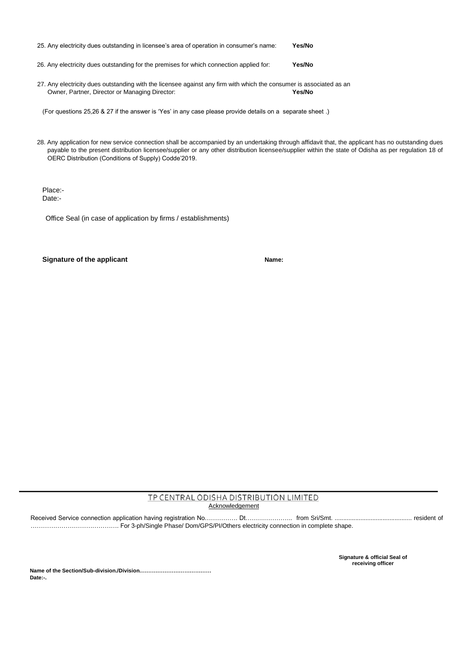| 25. Any electricity dues outstanding in licensee's area of operation in consumer's name: |        |  |  |  |  |
|------------------------------------------------------------------------------------------|--------|--|--|--|--|
| 26. Any electricity dues outstanding for the premises for which connection applied for:  | Yes/No |  |  |  |  |

27. Any electricity dues outstanding with the licensee against any firm with which the consumer is associated as an Owner, Partner, Director or Managing Director: **Yes/No** 

(For questions 25,26 & 27 if the answer is 'Yes' in any case please provide details on a separate sheet .)

 28. Any application for new service connection shall be accompanied by an undertaking through affidavit that, the applicant has no outstanding dues payable to the present distribution licensee/supplier or any other distribution licensee/supplier within the state of Odisha as per regulation 18 of OERC Distribution (Conditions of Supply) Codde'2019.

Place:- Date:-

Office Seal (in case of application by firms / establishments)

### **Signature of the applicant Name: Name: Name: Name: Name: Name: Name: Name: Name: Name: Name: Name: Name: Name: Name: Name: Name: Name: Name: Name: Name: Name: Name: Name:**

## TP CENTRAL ODISHA DISTRIBUTION LIMITED **Acknowledgement**

Received Service connection application having registration No……………. Dt………………….. from Sri/Smt. ............................................. resident of ……………………………………. For 3-ph/Single Phase/ Dom/GPS/PI/Others electricity connection in complete shape.

> **Signature & official Seal of receiving officer**

**Name of the Section/Sub-division./Division.………………………………… Date:-.**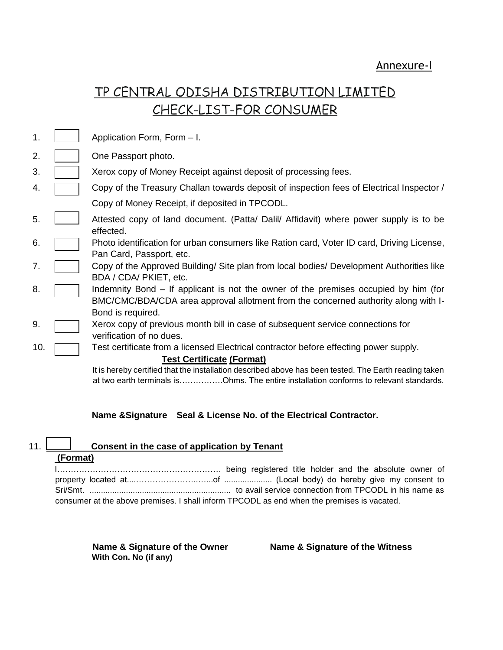# TP CENTRAL ODISHA DISTRIBUTION LIMITED CHECK-LIST-FOR CONSUMER

| 1.  | Application Form, Form - I.                                                                                                                                                                    |
|-----|------------------------------------------------------------------------------------------------------------------------------------------------------------------------------------------------|
| 2.  | One Passport photo.                                                                                                                                                                            |
| 3.  | Xerox copy of Money Receipt against deposit of processing fees.                                                                                                                                |
| 4.  | Copy of the Treasury Challan towards deposit of inspection fees of Electrical Inspector /                                                                                                      |
|     | Copy of Money Receipt, if deposited in TPCODL.                                                                                                                                                 |
| 5.  | Attested copy of land document. (Patta/ Dalil/ Affidavit) where power supply is to be<br>effected.                                                                                             |
| 6.  | Photo identification for urban consumers like Ration card, Voter ID card, Driving License,<br>Pan Card, Passport, etc.                                                                         |
| 7.  | Copy of the Approved Building/ Site plan from local bodies/ Development Authorities like<br>BDA / CDA/ PKIET, etc.                                                                             |
| 8.  | Indemnity Bond – If applicant is not the owner of the premises occupied by him (for<br>BMC/CMC/BDA/CDA area approval allotment from the concerned authority along with I-<br>Bond is required. |
| 9.  | Xerox copy of previous month bill in case of subsequent service connections for<br>verification of no dues.                                                                                    |
| 10. | Test certificate from a licensed Electrical contractor before effecting power supply.                                                                                                          |
|     | <b>Test Certificate (Format)</b>                                                                                                                                                               |
|     | It is hereby certified that the installation described above has been tested. The Earth reading taken                                                                                          |

It is hereby certified that the installation described above has been tested. The Earth reading taken at two earth terminals is…………….Ohms. The entire installation conforms to relevant standards.

## **Name &Signature Seal & License No. of the Electrical Contractor.**

## 11. **Consent in the case of application by Tenant**

## **(Format)**

| consumer at the above premises. I shall inform TPCODL as end when the premises is vacated. |  |  |  |
|--------------------------------------------------------------------------------------------|--|--|--|

**With Con. No (if any)** 

**Name & Signature of the Owner Name & Signature of the Witness**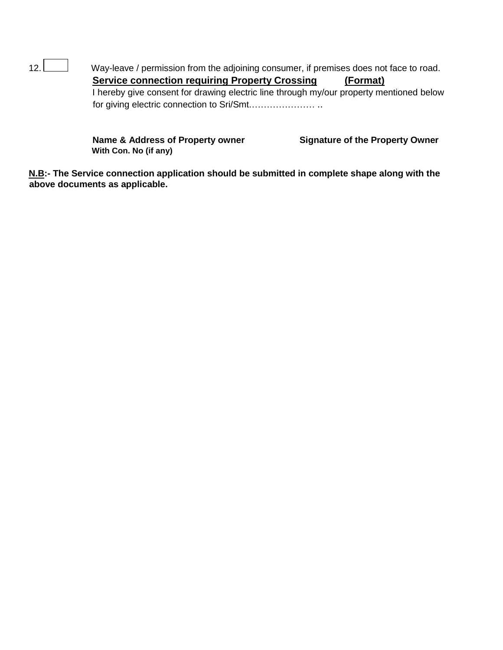12. Way-leave / permission from the adjoining consumer, if premises does not face to road. **Service connection requiring Property Crossing (Format)** I hereby give consent for drawing electric line through my/our property mentioned below for giving electric connection to Sri/Smt.………………… ..

> Name & Address of Property owner **Signature of the Property Owner With Con. No (if any)**

**N.B:- The Service connection application should be submitted in complete shape along with the above documents as applicable.**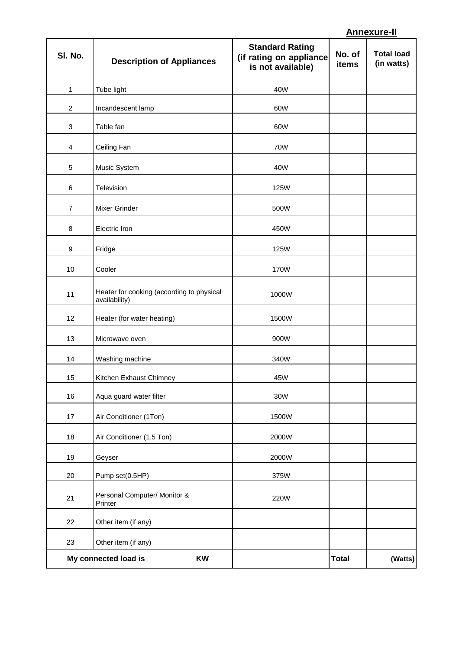# **Annexure-II**

| SI. No.          | <b>Description of Appliances</b>                           | <b>Standard Rating</b><br>(if rating on appliance<br>is not available) | No. of<br>items | <b>Total load</b><br>(in watts) |
|------------------|------------------------------------------------------------|------------------------------------------------------------------------|-----------------|---------------------------------|
| 1                | Tube light                                                 | 40W                                                                    |                 |                                 |
| $\sqrt{2}$       | Incandescent lamp                                          | 60W                                                                    |                 |                                 |
| $\sqrt{3}$       | Table fan                                                  | 60W                                                                    |                 |                                 |
| $\overline{4}$   | Ceiling Fan                                                | 70W                                                                    |                 |                                 |
| 5                | Music System                                               | 40W                                                                    |                 |                                 |
| 6                | Television                                                 | 125W                                                                   |                 |                                 |
| $\overline{7}$   | Mixer Grinder                                              | 500W                                                                   |                 |                                 |
| 8                | Electric Iron                                              | 450W                                                                   |                 |                                 |
| $\boldsymbol{9}$ | Fridge                                                     | 125W                                                                   |                 |                                 |
| 10               | Cooler                                                     | 170W                                                                   |                 |                                 |
| 11               | Heater for cooking (according to physical<br>availability) | 1000W                                                                  |                 |                                 |
| 12               | Heater (for water heating)                                 | 1500W                                                                  |                 |                                 |
| 13               | Microwave oven                                             | 900W                                                                   |                 |                                 |
| 14               | Washing machine                                            | 340W                                                                   |                 |                                 |
| 15               | Kitchen Exhaust Chimney                                    | 45W                                                                    |                 |                                 |
| 16               | Aqua guard water filter                                    | 30W                                                                    |                 |                                 |
| 17               | Air Conditioner (1Ton)                                     | 1500W                                                                  |                 |                                 |
| 18               | Air Conditioner (1.5 Ton)                                  | 2000W                                                                  |                 |                                 |
| 19               | Geyser                                                     | 2000W                                                                  |                 |                                 |
| $20\,$           | Pump set(0.5HP)                                            | 375W                                                                   |                 |                                 |
| 21               | Personal Computer/ Monitor &<br>Printer                    | 220W                                                                   |                 |                                 |
| 22               | Other item (if any)                                        |                                                                        |                 |                                 |
| 23               | Other item (if any)                                        |                                                                        |                 |                                 |
|                  | My connected load is<br>KW                                 |                                                                        | <b>Total</b>    | (Watts)                         |